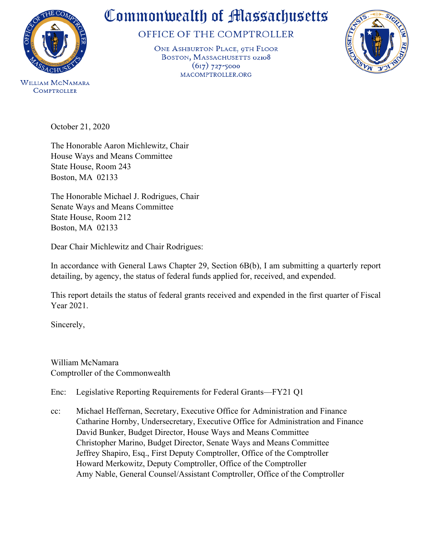

**COMPTROLLER** 

## Commonwealth of Massachusetts

OFFICE OF THE COMPTROLLER

ONE ASHBURTON PLACE, 9TH FLOOR BOSTON, MASSACHUSETTS 02108  $(617)$  727-5000 MACOMPTROLLER.ORG



October 21, 2020

The Honorable Aaron Michlewitz, Chair House Ways and Means Committee State House, Room 243 Boston, MA 02133

The Honorable Michael J. Rodrigues, Chair Senate Ways and Means Committee State House, Room 212 Boston, MA 02133

Dear Chair Michlewitz and Chair Rodrigues:

In accordance with General Laws Chapter 29, Section 6B(b), I am submitting a quarterly report detailing, by agency, the status of federal funds applied for, received, and expended.

This report details the status of federal grants received and expended in the first quarter of Fiscal Year 2021.

Sincerely,

William McNamara Comptroller of the Commonwealth

Enc: Legislative Reporting [Requirements for Federal Grants—FY21 Q1](http://www.macomptroller.info/comptroller/publications-and-reports/legislatively-mandated/federal-grants/attachments/FY2021/FY2021-Q1/FY21%20Q1%20Federal%20Grants%20Legislative%20Report.xlsx)

cc: Michael Heffernan, Secretary, Executive Office for Administration and Finance Catharine Hornby, Undersecretary, Executive Office for Administration and Finance David Bunker, Budget Director, House Ways and Means Committee Christopher Marino, Budget Director, Senate Ways and Means Committee Jeffrey Shapiro, Esq., First Deputy Comptroller, Office of the Comptroller Howard Merkowitz, Deputy Comptroller, Office of the Comptroller Amy Nable, General Counsel/Assistant Comptroller, Office of the Comptroller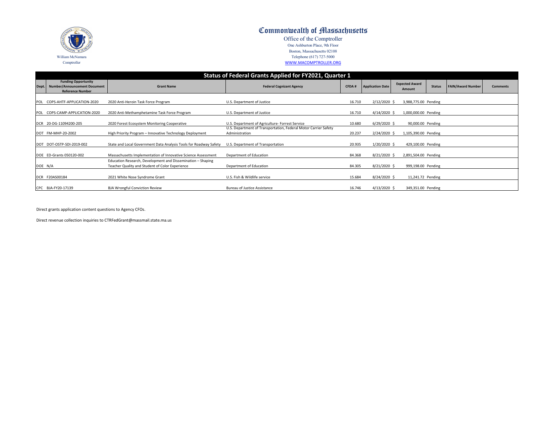| <b>Status of Federal Grants Applied for FY2021, Quarter 1</b> |                                                                                               |                                                                                                                |                                                                                                                    |              |                         |                                 |               |                          |                 |
|---------------------------------------------------------------|-----------------------------------------------------------------------------------------------|----------------------------------------------------------------------------------------------------------------|--------------------------------------------------------------------------------------------------------------------|--------------|-------------------------|---------------------------------|---------------|--------------------------|-----------------|
|                                                               | <b>Funding Opportunity</b><br>Dept.   Number/Announcement Document<br><b>Reference Number</b> | <b>Grant Name</b>                                                                                              | <b>Federal Cognizant Agency</b>                                                                                    | <b>CFDA#</b> | <b>Application Date</b> | <b>Expected Award</b><br>Amount | <b>Status</b> | <b>FAIN/Award Number</b> | <b>Comments</b> |
| <b>POL</b>                                                    | COPS-AHTF-APPLICATION-2020                                                                    | 2020 Anti-Heroin Task Force Program                                                                            | U.S. Department of Justice                                                                                         | 16.710       | $2/12/2020$ \$          | 3,988,775.00 Pending            |               |                          |                 |
| <b>POL</b>                                                    | COPS-CAMP-APPLICATION-2020                                                                    | 2020 Anti-Methamphetamine Task Force Program                                                                   | U.S. Department of Justice                                                                                         | 16.710       | $4/14/2020$ \$          | 1,000,000.00 Pending            |               |                          |                 |
|                                                               | DCR 20-DG-11094200-205                                                                        | 2020 Forest Ecosystem Monitoring Cooperative                                                                   | U.S. Department of Agriculture- Forrest Service<br>U.S. Department of Transportation, Federal Motor Carrier Safety | 10.680       | $6/29/2020$ \$          | 90,000.00 Pending               |               |                          |                 |
|                                                               | DOT FM-MHP-20-2002                                                                            | High Priority Program - Innovative Technology Deployment                                                       | Administration                                                                                                     | 20.237       | $2/24/2020$ \$          | 1,105,390.00 Pending            |               |                          |                 |
|                                                               | DOT DOT-OSTP-SDI-2019-002                                                                     | State and Local Government Data Analysis Tools for Roadway Safety                                              | U.S. Department of Transportation                                                                                  | 20.935       | 1/20/2020 \$            | 429,100.00 Pending              |               |                          |                 |
|                                                               | DOE ED-Grants 050120-002                                                                      | Massachusetts Implementation of Innovative Science Assessment                                                  | Department of Education                                                                                            | 84.368       | $8/21/2020$ \$          | 2,891,504.00 Pending            |               |                          |                 |
| DOE N/A                                                       |                                                                                               | Education Research, Development and Dissemination – Shaping<br>Teacher Quality and Student of Color Experience | Department of Education                                                                                            | 84.305       | 8/21/2020 \$            | 999,198.00 Pending              |               |                          |                 |
|                                                               | DCR F20AS00184                                                                                | 2021 White Nose Syndrome Grant                                                                                 | U.S. Fish & Wildlife service                                                                                       | 15.684       | 8/24/2020 \$            | 11,241.72 Pending               |               |                          |                 |
|                                                               | CPC BJA-FY20-17139                                                                            | <b>BJA Wrongful Conviction Review</b>                                                                          | <b>Bureau of Justice Assistance</b>                                                                                | 16.746       | $4/13/2020$ \$          | 349,351.00 Pending              |               |                          |                 |

Direct grants application content questions to Agency CFOs.

Direct revenue collection inquiries to CTRFedGrant@massmail.state.ma.us

| SIGKEEN<br>450<br>17825<br>ASS |
|--------------------------------|
| William McNamara               |
| Comptroller                    |

## Commonwealth of Massachusetts

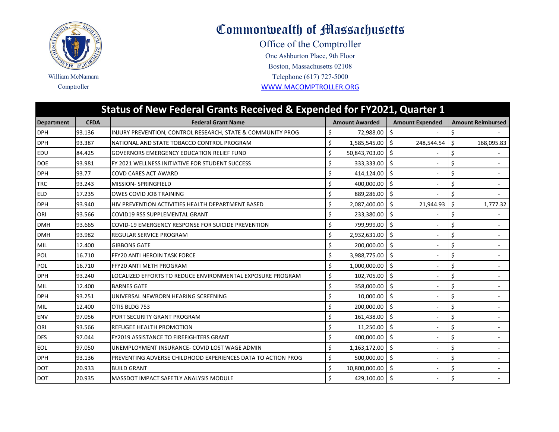

## Commonwealth of Massachusetts

One Ashburton Place, 9th Floor Office of the Comptroller Comptroller [WWW.MACOMPTRO](http://www.macomptroller.org/)LLER.ORG Telephone (617) 727-5000 Boston, Massachusetts 02108

| Status of New Federal Grants Received & Expended for FY2021, Quarter 1 |             |                                                              |                       |                        |                          |  |  |
|------------------------------------------------------------------------|-------------|--------------------------------------------------------------|-----------------------|------------------------|--------------------------|--|--|
| <b>Department</b>                                                      | <b>CFDA</b> | <b>Federal Grant Name</b>                                    | <b>Amount Awarded</b> | <b>Amount Expended</b> | <b>Amount Reimbursed</b> |  |  |
| <b>DPH</b>                                                             | 93.136      | INJURY PREVENTION, CONTROL RESEARCH, STATE & COMMUNITY PROG  | \$<br>72,988.00       | Ŝ.                     | \$                       |  |  |
| <b>DPH</b>                                                             | 93.387      | NATIONAL AND STATE TOBACCO CONTROL PROGRAM                   | \$<br>1,585,545.00    | Ŝ.<br>248,544.54       | Ś.<br>168,095.83         |  |  |
| <b>EDU</b>                                                             | 84.425      | <b>GOVERNORS EMERGENCY EDUCATION RELIEF FUND</b>             | \$<br>50,843,703.00   |                        | Ś                        |  |  |
| <b>DOE</b>                                                             | 93.981      | FY 2021 WELLNESS INITIATIVE FOR STUDENT SUCCESS              | \$<br>333,333.00      | Ŝ.                     | \$                       |  |  |
| <b>DPH</b>                                                             | 93.77       | COVD CARES ACT AWARD                                         | \$<br>414,124.00      | Ŝ.                     | Ś<br>$\sim$              |  |  |
| <b>TRC</b>                                                             | 93.243      | <b>MISSION- SPRINGFIELD</b>                                  | 400,000.00            | Ś.                     | Ś                        |  |  |
| <b>ELD</b>                                                             | 17.235      | <b>OWES COVID JOB TRAINING</b>                               | \$<br>889,286.00      | Ŝ.                     | Ś                        |  |  |
| <b>DPH</b>                                                             | 93.940      | HIV PREVENTION ACTIVITIES HEALTH DEPARTMENT BASED            | \$<br>2,087,400.00    | Ŝ.<br>21,944.93        | \$<br>1,777.32           |  |  |
| ORI                                                                    | 93.566      | COVID19 RSS SUPPLEMENTAL GRANT                               | \$<br>233,380.00      | Ŝ.                     | Ś                        |  |  |
| <b>DMH</b>                                                             | 93.665      | COVID-19 EMERGENCY RESPONSE FOR SUICIDE PREVENTION           | \$<br>799,999.00      | Ś.                     | \$                       |  |  |
| <b>DMH</b>                                                             | 93.982      | REGULAR SERVICE PROGRAM                                      | \$<br>2,932,631.00    | \$                     | \$                       |  |  |
| MIL                                                                    | 12.400      | <b>GIBBONS GATE</b>                                          | \$<br>200,000.00      | - Ś<br>$\sim$          | \$                       |  |  |
| POL                                                                    | 16.710      | FFY20 ANTI HEROIN TASK FORCE                                 | \$<br>3,988,775.00    | Ŝ.                     | \$                       |  |  |
| <b>POL</b>                                                             | 16.710      | FFY20 ANTI METH PROGRAM                                      | \$<br>1,000,000.00    | Ŝ.                     | \$                       |  |  |
| <b>DPH</b>                                                             | 93.240      | LOCALIZED EFFORTS TO REDUCE ENVIRONMENTAL EXPOSURE PROGRAM   | \$<br>102,705.00      | S.                     | \$                       |  |  |
| MIL                                                                    | 12.400      | <b>BARNES GATE</b>                                           | \$<br>358,000.00      | Ŝ.                     | Ś                        |  |  |
| <b>DPH</b>                                                             | 93.251      | UNIVERSAL NEWBORN HEARING SCREENING                          | 10,000.00             | Š.                     | Ś                        |  |  |
| MIL                                                                    | 12.400      | OTIS BLDG 753                                                | \$<br>200,000.00      | \$                     | Ś                        |  |  |
| <b>ENV</b>                                                             | 97.056      | PORT SECURITY GRANT PROGRAM                                  | \$<br>161,438.00      | Ŝ.                     | \$                       |  |  |
| ORI                                                                    | 93.566      | <b>REFUGEE HEALTH PROMOTION</b>                              | \$<br>11,250.00       | \$                     | \$                       |  |  |
| <b>DFS</b>                                                             | 97.044      | <b>FY2019 ASSISTANCE TO FIREFIGHTERS GRANT</b>               | \$<br>400,000.00      | Ŝ.                     | \$                       |  |  |
| <b>EOL</b>                                                             | 97.050      | UNEMPLOYMENT INSURANCE- COVID LOST WAGE ADMIN                | \$<br>1,163,172.00    | \$                     | \$                       |  |  |
| <b>DPH</b>                                                             | 93.136      | PREVENTING ADVERSE CHILDHOOD EXPERIENCES DATA TO ACTION PROG | \$<br>500,000.00      | Ŝ.<br>$\sim$           | Ś                        |  |  |
| <b>DOT</b>                                                             | 20.933      | <b>BUILD GRANT</b>                                           | \$<br>10,800,000.00   | Ŝ.                     | \$                       |  |  |
| <b>IDOT</b>                                                            | 20.935      | <b>MASSDOT IMPACT SAFETLY ANALYSIS MODULE</b>                | Ś<br>429,100.00 \$    |                        | \$                       |  |  |